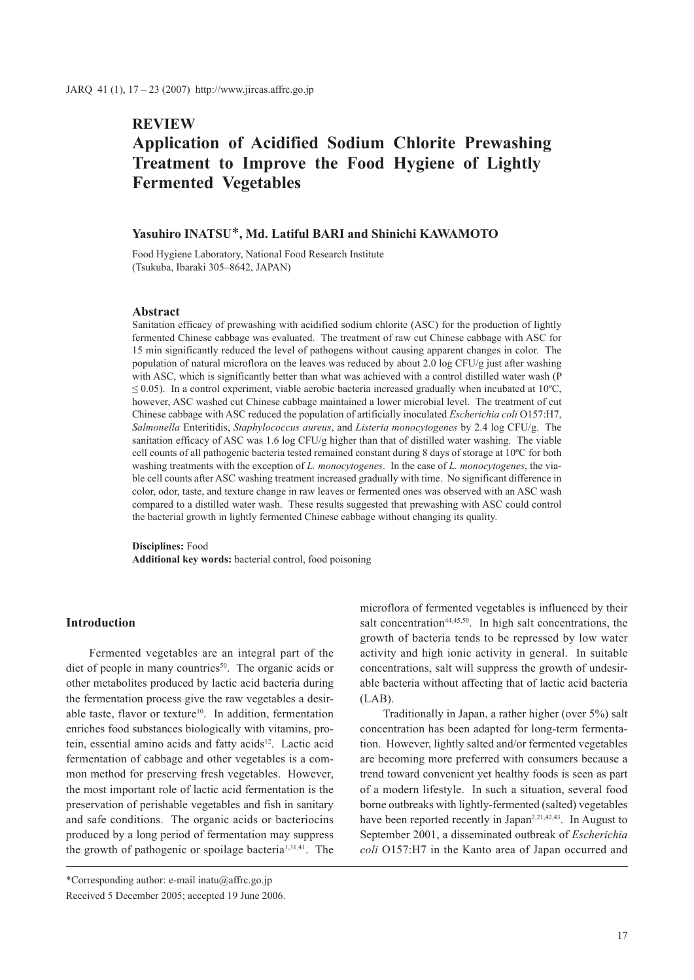# **REVIEW**

# **Application of Acidified Sodium Chlorite Prewashing Treatment to Improve the Food Hygiene of Lightly Fermented Vegetables**

### **Yasuhiro INATSU**\***, Md. Latiful BARI and Shinichi KAWAMOTO**

Food Hygiene Laboratory, National Food Research Institute (Tsukuba, Ibaraki 305–8642, JAPAN)

### **Abstract**

Sanitation efficacy of prewashing with acidified sodium chlorite (ASC) for the production of lightly fermented Chinese cabbage was evaluated. The treatment of raw cut Chinese cabbage with ASC for 15 min significantly reduced the level of pathogens without causing apparent changes in color. The population of natural microflora on the leaves was reduced by about 2.0 log CFU/g just after washing with ASC, which is significantly better than what was achieved with a control distilled water wash (P  $\leq$  0.05). In a control experiment, viable aerobic bacteria increased gradually when incubated at 10<sup>o</sup>C, however, ASC washed cut Chinese cabbage maintained a lower microbial level. The treatment of cut Chinese cabbage with ASC reduced the population of artificially inoculated *Escherichia coli* O157:H7, *Salmonella* Enteritidis, *Staphylococcus aureus*, and *Listeria monocytogenes* by 2.4 log CFU/g. The sanitation efficacy of ASC was 1.6 log CFU/g higher than that of distilled water washing. The viable cell counts of all pathogenic bacteria tested remained constant during 8 days of storage at 10ºC for both washing treatments with the exception of *L. monocytogenes*. In the case of *L. monocytogenes*, the viable cell counts after ASC washing treatment increased gradually with time. No significant difference in color, odor, taste, and texture change in raw leaves or fermented ones was observed with an ASC wash compared to a distilled water wash. These results suggested that prewashing with ASC could control the bacterial growth in lightly fermented Chinese cabbage without changing its quality.

**Disciplines:** Food **Additional key words:** bacterial control, food poisoning

## **Introduction**

Fermented vegetables are an integral part of the diet of people in many countries<sup>50</sup>. The organic acids or other metabolites produced by lactic acid bacteria during the fermentation process give the raw vegetables a desirable taste, flavor or texture<sup>10</sup>. In addition, fermentation enriches food substances biologically with vitamins, protein, essential amino acids and fatty acids<sup>12</sup>. Lactic acid fermentation of cabbage and other vegetables is a common method for preserving fresh vegetables. However, the most important role of lactic acid fermentation is the preservation of perishable vegetables and fish in sanitary and safe conditions. The organic acids or bacteriocins produced by a long period of fermentation may suppress the growth of pathogenic or spoilage bacteria<sup>1,31,41</sup>. The

microflora of fermented vegetables is influenced by their salt concentration<sup>44,45,50</sup>. In high salt concentrations, the growth of bacteria tends to be repressed by low water activity and high ionic activity in general. In suitable concentrations, salt will suppress the growth of undesirable bacteria without affecting that of lactic acid bacteria  $(LAB)$ .

Traditionally in Japan, a rather higher (over 5%) salt concentration has been adapted for long-term fermentation. However, lightly salted and/or fermented vegetables are becoming more preferred with consumers because a trend toward convenient yet healthy foods is seen as part of a modern lifestyle. In such a situation, several food borne outbreaks with lightly-fermented (salted) vegetables have been reported recently in Japan<sup>2,21,42,43</sup>. In August to September 2001, a disseminated outbreak of *Escherichia coli* O157:H7 in the Kanto area of Japan occurred and

<sup>\*</sup>Corresponding author: e-mail inatu@affrc.go.jp Received 5 December 2005; accepted 19 June 2006.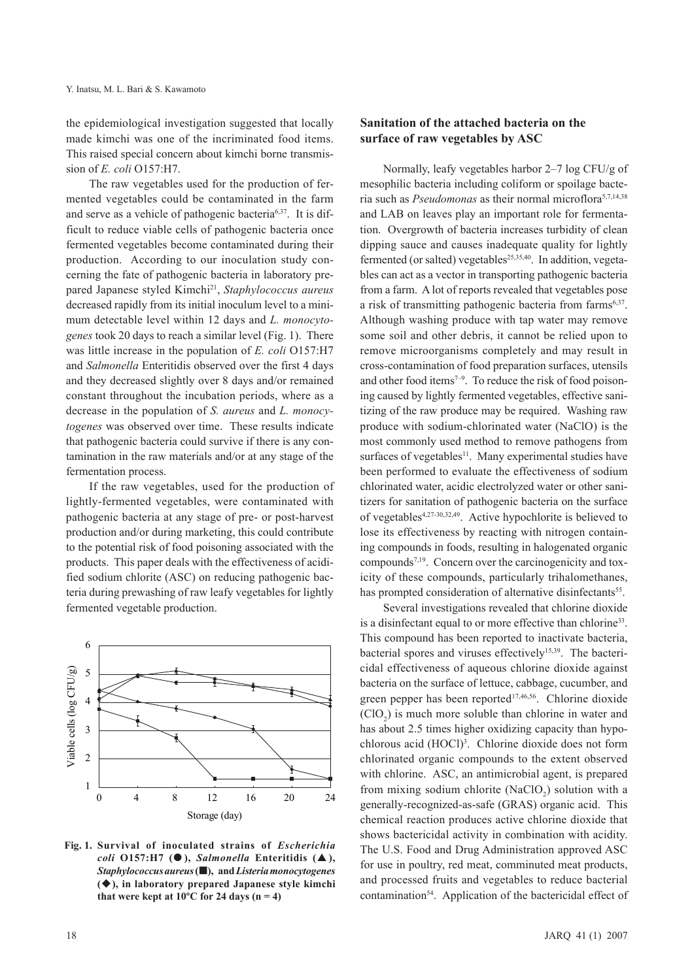the epidemiological investigation suggested that locally made kimchi was one of the incriminated food items. This raised special concern about kimchi borne transmission of *E. coli* O157:H7.

The raw vegetables used for the production of fermented vegetables could be contaminated in the farm and serve as a vehicle of pathogenic bacteria<sup>6,37</sup>. It is difficult to reduce viable cells of pathogenic bacteria once fermented vegetables become contaminated during their production. According to our inoculation study concerning the fate of pathogenic bacteria in laboratory prepared Japanese styled Kimchi21, *Staphylococcus aureus* decreased rapidly from its initial inoculum level to a minimum detectable level within 12 days and *L. monocytogenes* took 20 days to reach a similar level (Fig. 1). There was little increase in the population of *E. coli* O157:H7 and *Salmonella* Enteritidis observed over the first 4 days and they decreased slightly over 8 days and/or remained constant throughout the incubation periods, where as a decrease in the population of *S. aureus* and *L. monocytogenes* was observed over time. These results indicate that pathogenic bacteria could survive if there is any contamination in the raw materials and/or at any stage of the fermentation process.

If the raw vegetables, used for the production of lightly-fermented vegetables, were contaminated with pathogenic bacteria at any stage of pre- or post-harvest production and/or during marketing, this could contribute to the potential risk of food poisoning associated with the products. This paper deals with the effectiveness of acidified sodium chlorite (ASC) on reducing pathogenic bacteria during prewashing of raw leafy vegetables for lightly fermented vegetable production.



**Fig. 1. Survival of inoculated strains of** *Escherichia coli* **O157:H7 ( ),** *Salmonella* **Enteritidis ( ),**  *Staphylococcus aureus* **(), and** *Listeria monocytogenes* **(), in laboratory prepared Japanese style kimchi**  that were kept at  $10^{\circ}$ C for 24 days (n = 4)

# **Sanitation of the attached bacteria on the surface of raw vegetables by ASC**

Normally, leafy vegetables harbor 2–7 log CFU/g of mesophilic bacteria including coliform or spoilage bacteria such as *Pseudomonas* as their normal microflora5,7,14,38 and LAB on leaves play an important role for fermentation. Overgrowth of bacteria increases turbidity of clean dipping sauce and causes inadequate quality for lightly fermented (or salted) vegetables<sup>25,35,40</sup>. In addition, vegetables can act as a vector in transporting pathogenic bacteria from a farm. A lot of reports revealed that vegetables pose a risk of transmitting pathogenic bacteria from farms<sup>6,37</sup>. Although washing produce with tap water may remove some soil and other debris, it cannot be relied upon to remove microorganisms completely and may result in cross-contamination of food preparation surfaces, utensils and other food items<sup>7-9</sup>. To reduce the risk of food poisoning caused by lightly fermented vegetables, effective sanitizing of the raw produce may be required. Washing raw produce with sodium-chlorinated water (NaClO) is the most commonly used method to remove pathogens from surfaces of vegetables $11$ . Many experimental studies have been performed to evaluate the effectiveness of sodium chlorinated water, acidic electrolyzed water or other sanitizers for sanitation of pathogenic bacteria on the surface of vegetables4,27-30,32,49. Active hypochlorite is believed to lose its effectiveness by reacting with nitrogen containing compounds in foods, resulting in halogenated organic compounds<sup>7,19</sup>. Concern over the carcinogenicity and toxicity of these compounds, particularly trihalomethanes, has prompted consideration of alternative disinfectants<sup>55</sup>.

Several investigations revealed that chlorine dioxide is a disinfectant equal to or more effective than chlorine<sup>33</sup>. This compound has been reported to inactivate bacteria, bacterial spores and viruses effectively<sup>15,39</sup>. The bactericidal effectiveness of aqueous chlorine dioxide against bacteria on the surface of lettuce, cabbage, cucumber, and green pepper has been reported<sup>17,46,56</sup>. Chlorine dioxide  $(CIO<sub>2</sub>)$  is much more soluble than chlorine in water and has about 2.5 times higher oxidizing capacity than hypochlorous acid (HOCl)<sup>3</sup>. Chlorine dioxide does not form chlorinated organic compounds to the extent observed with chlorine. ASC, an antimicrobial agent, is prepared from mixing sodium chlorite  $(NaClO<sub>2</sub>)$  solution with a generally-recognized-as-safe (GRAS) organic acid. This chemical reaction produces active chlorine dioxide that shows bactericidal activity in combination with acidity. The U.S. Food and Drug Administration approved ASC for use in poultry, red meat, comminuted meat products, and processed fruits and vegetables to reduce bacterial contamination54. Application of the bactericidal effect of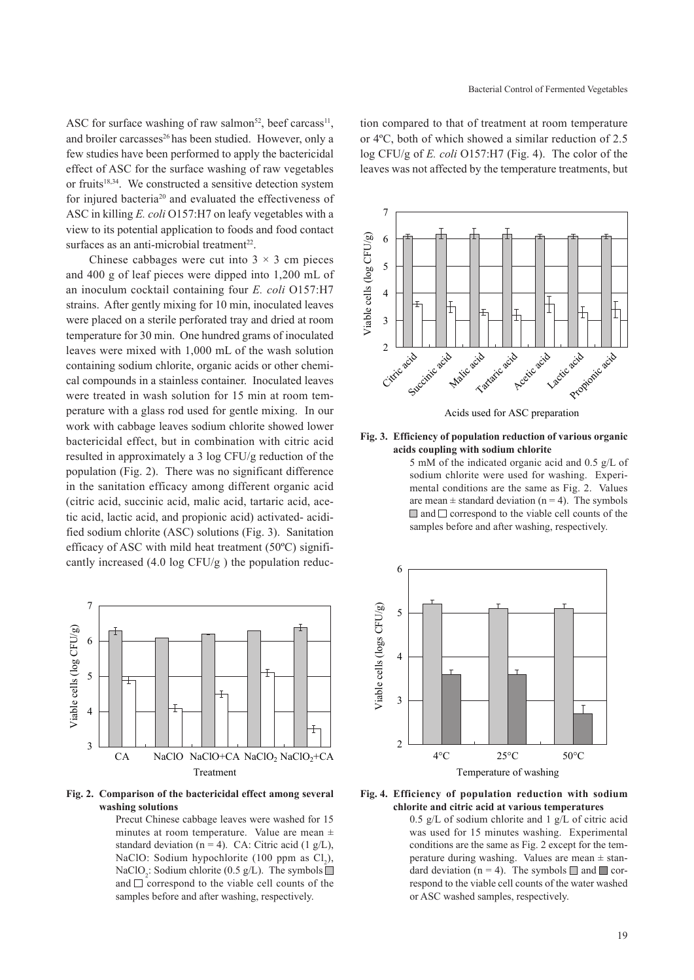ASC for surface washing of raw salmon<sup>52</sup>, beef carcass<sup>11</sup>, and broiler carcasses<sup>26</sup> has been studied. However, only a few studies have been performed to apply the bactericidal effect of ASC for the surface washing of raw vegetables or fruits<sup>18,34</sup>. We constructed a sensitive detection system for injured bacteria<sup>20</sup> and evaluated the effectiveness of ASC in killing *E. coli* O157:H7 on leafy vegetables with a view to its potential application to foods and food contact surfaces as an anti-microbial treatment<sup>22</sup>.

Chinese cabbages were cut into  $3 \times 3$  cm pieces and 400 g of leaf pieces were dipped into 1,200 mL of an inoculum cocktail containing four *E. coli* O157:H7 strains. After gently mixing for 10 min, inoculated leaves were placed on a sterile perforated tray and dried at room temperature for 30 min. One hundred grams of inoculated leaves were mixed with 1,000 mL of the wash solution containing sodium chlorite, organic acids or other chemical compounds in a stainless container. Inoculated leaves were treated in wash solution for 15 min at room temperature with a glass rod used for gentle mixing. In our work with cabbage leaves sodium chlorite showed lower bactericidal effect, but in combination with citric acid resulted in approximately a 3 log CFU/g reduction of the population (Fig. 2). There was no significant difference in the sanitation efficacy among different organic acid (citric acid, succinic acid, malic acid, tartaric acid, acetic acid, lactic acid, and propionic acid) activated- acidified sodium chlorite (ASC) solutions (Fig. 3). Sanitation efficacy of ASC with mild heat treatment (50ºC) significantly increased (4.0 log CFU/g ) the population reduc-



**Fig. 2. Comparison of the bactericidal effect among several washing solutions** 

Precut Chinese cabbage leaves were washed for 15 minutes at room temperature. Value are mean ± standard deviation (n = 4). CA: Citric acid (1  $g/L$ ), NaClO: Sodium hypochlorite (100 ppm as  $Cl_2$ ), NaClO<sub>2</sub>: Sodium chlorite (0.5  $g/L$ ). The symbols and  $\Box$  correspond to the viable cell counts of the samples before and after washing, respectively.

tion compared to that of treatment at room temperature or 4ºC, both of which showed a similar reduction of 2.5 log CFU/g of *E. coli* O157:H7 (Fig. 4). The color of the leaves was not affected by the temperature treatments, but



Acids used for ASC preparation

**Fig. 3. Efficiency of population reduction of various organic acids coupling with sodium chlorite**

> 5 mM of the indicated organic acid and 0.5 g/L of sodium chlorite were used for washing. Experimental conditions are the same as Fig. 2. Values are mean  $\pm$  standard deviation (n = 4). The symbols  $\Box$  and  $\Box$  correspond to the viable cell counts of the samples before and after washing, respectively.





<sup>0.5</sup> g/L of sodium chlorite and 1 g/L of citric acid was used for 15 minutes washing. Experimental conditions are the same as Fig. 2 except for the temperature during washing. Values are mean  $\pm$  standard deviation (n = 4). The symbols  $\Box$  and  $\Box$  correspond to the viable cell counts of the water washed or ASC washed samples, respectively.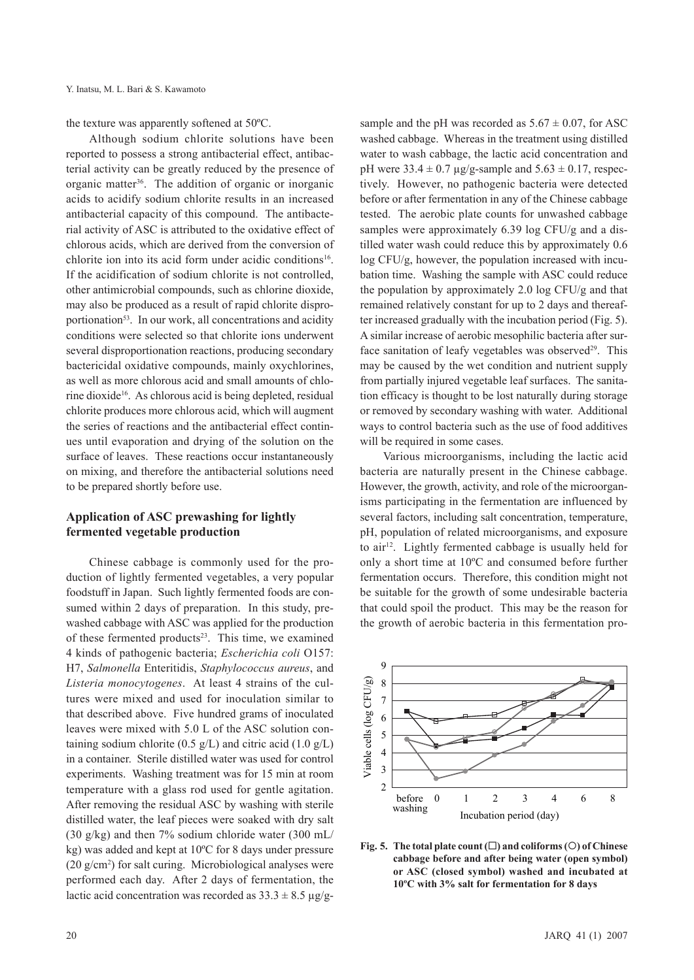the texture was apparently softened at 50ºC.

Although sodium chlorite solutions have been reported to possess a strong antibacterial effect, antibacterial activity can be greatly reduced by the presence of organic matter<sup>36</sup>. The addition of organic or inorganic acids to acidify sodium chlorite results in an increased antibacterial capacity of this compound. The antibacterial activity of ASC is attributed to the oxidative effect of chlorous acids, which are derived from the conversion of chlorite ion into its acid form under acidic conditions<sup>16</sup>. If the acidification of sodium chlorite is not controlled, other antimicrobial compounds, such as chlorine dioxide, may also be produced as a result of rapid chlorite disproportionation<sup>53</sup>. In our work, all concentrations and acidity conditions were selected so that chlorite ions underwent several disproportionation reactions, producing secondary bactericidal oxidative compounds, mainly oxychlorines, as well as more chlorous acid and small amounts of chlorine dioxide<sup>16</sup>. As chlorous acid is being depleted, residual chlorite produces more chlorous acid, which will augment the series of reactions and the antibacterial effect continues until evaporation and drying of the solution on the surface of leaves. These reactions occur instantaneously on mixing, and therefore the antibacterial solutions need to be prepared shortly before use.

# **Application of ASC prewashing for lightly fermented vegetable production**

Chinese cabbage is commonly used for the production of lightly fermented vegetables, a very popular foodstuff in Japan. Such lightly fermented foods are consumed within 2 days of preparation. In this study, prewashed cabbage with ASC was applied for the production of these fermented products<sup>23</sup>. This time, we examined 4 kinds of pathogenic bacteria; *Escherichia coli* O157: H7, *Salmonella* Enteritidis, *Staphylococcus aureus*, and *Listeria monocytogenes*. At least 4 strains of the cultures were mixed and used for inoculation similar to that described above. Five hundred grams of inoculated leaves were mixed with 5.0 L of the ASC solution containing sodium chlorite (0.5 g/L) and citric acid (1.0 g/L) in a container. Sterile distilled water was used for control experiments. Washing treatment was for 15 min at room temperature with a glass rod used for gentle agitation. After removing the residual ASC by washing with sterile distilled water, the leaf pieces were soaked with dry salt (30 g/kg) and then 7% sodium chloride water (300 mL/ kg) was added and kept at 10ºC for 8 days under pressure (20 g/cm2 ) for salt curing. Microbiological analyses were performed each day. After 2 days of fermentation, the lactic acid concentration was recorded as  $33.3 \pm 8.5 \text{ µg/g}$ -

sample and the pH was recorded as  $5.67 \pm 0.07$ , for ASC washed cabbage. Whereas in the treatment using distilled water to wash cabbage, the lactic acid concentration and pH were  $33.4 \pm 0.7$  µg/g-sample and  $5.63 \pm 0.17$ , respectively. However, no pathogenic bacteria were detected before or after fermentation in any of the Chinese cabbage tested. The aerobic plate counts for unwashed cabbage samples were approximately 6.39 log CFU/g and a distilled water wash could reduce this by approximately 0.6 log CFU/g, however, the population increased with incubation time. Washing the sample with ASC could reduce the population by approximately 2.0 log CFU/g and that remained relatively constant for up to 2 days and thereafter increased gradually with the incubation period (Fig. 5). A similar increase of aerobic mesophilic bacteria after surface sanitation of leafy vegetables was observed $29$ . This may be caused by the wet condition and nutrient supply from partially injured vegetable leaf surfaces. The sanitation efficacy is thought to be lost naturally during storage or removed by secondary washing with water. Additional ways to control bacteria such as the use of food additives will be required in some cases.

Various microorganisms, including the lactic acid bacteria are naturally present in the Chinese cabbage. However, the growth, activity, and role of the microorganisms participating in the fermentation are influenced by several factors, including salt concentration, temperature, pH, population of related microorganisms, and exposure to air<sup>12</sup>. Lightly fermented cabbage is usually held for only a short time at 10ºC and consumed before further fermentation occurs. Therefore, this condition might not be suitable for the growth of some undesirable bacteria that could spoil the product. This may be the reason for the growth of aerobic bacteria in this fermentation pro-



**Fig. 5.** The total plate count  $(\Box)$  and coliforms  $(\Diamond)$  of Chinese **cabbage before and after being water (open symbol) or ASC (closed symbol) washed and incubated at 10ºC with 3% salt for fermentation for 8 days**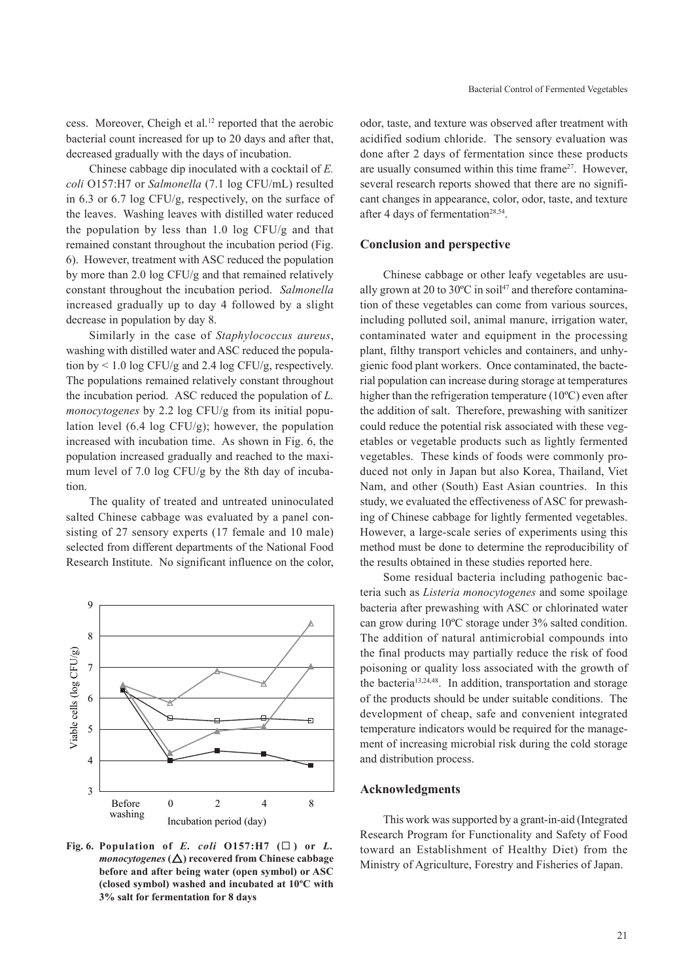cess. Moreover, Cheigh et al.12 reported that the aerobic bacterial count increased for up to 20 days and after that, decreased gradually with the days of incubation.

Chinese cabbage dip inoculated with a cocktail of *E. coli* O157:H7 or *Salmonella* (7.1 log CFU/mL) resulted in 6.3 or 6.7 log CFU/g, respectively, on the surface of the leaves. Washing leaves with distilled water reduced the population by less than 1.0 log CFU/g and that remained constant throughout the incubation period (Fig. 6). However, treatment with ASC reduced the population by more than 2.0 log CFU/g and that remained relatively constant throughout the incubation period. *Salmonella* increased gradually up to day 4 followed by a slight decrease in population by day 8.

Similarly in the case of *Staphylococcus aureus*, washing with distilled water and ASC reduced the population by  $\leq 1.0$  log CFU/g and 2.4 log CFU/g, respectively. The populations remained relatively constant throughout the incubation period. ASC reduced the population of *L. monocytogenes* by 2.2 log CFU/g from its initial population level (6.4 log CFU/g); however, the population increased with incubation time. As shown in Fig. 6, the population increased gradually and reached to the maximum level of 7.0 log CFU/g by the 8th day of incubation.

The quality of treated and untreated uninoculated salted Chinese cabbage was evaluated by a panel consisting of 27 sensory experts (17 female and 10 male) selected from different departments of the National Food Research Institute. No significant influence on the color,



Fig. 6. Population of *E. coli*  $O157:H7$  ( $\square$ ) or *L. monocytogenes*  $(\Delta)$  recovered from Chinese cabbage **before and after being water (open symbol) or ASC (closed symbol) washed and incubated at 10ºC with 3% salt for fermentation for 8 days** 

odor, taste, and texture was observed after treatment with acidified sodium chloride. The sensory evaluation was done after 2 days of fermentation since these products are usually consumed within this time frame<sup>27</sup>. However, several research reports showed that there are no significant changes in appearance, color, odor, taste, and texture after 4 days of fermentation<sup>28,54</sup>.

### **Conclusion and perspective**

Chinese cabbage or other leafy vegetables are usually grown at 20 to 30 $^{\circ}$ C in soil<sup>47</sup> and therefore contamination of these vegetables can come from various sources, including polluted soil, animal manure, irrigation water, contaminated water and equipment in the processing plant, filthy transport vehicles and containers, and unhygienic food plant workers. Once contaminated, the bacterial population can increase during storage at temperatures higher than the refrigeration temperature (10ºC) even after the addition of salt. Therefore, prewashing with sanitizer could reduce the potential risk associated with these vegetables or vegetable products such as lightly fermented vegetables. These kinds of foods were commonly produced not only in Japan but also Korea, Thailand, Viet Nam, and other (South) East Asian countries. In this study, we evaluated the effectiveness of ASC for prewashing of Chinese cabbage for lightly fermented vegetables. However, a large-scale series of experiments using this method must be done to determine the reproducibility of the results obtained in these studies reported here.

Some residual bacteria including pathogenic bacteria such as *Listeria monocytogenes* and some spoilage bacteria after prewashing with ASC or chlorinated water can grow during 10ºC storage under 3% salted condition. The addition of natural antimicrobial compounds into the final products may partially reduce the risk of food poisoning or quality loss associated with the growth of the bacteria<sup>13,24,48</sup>. In addition, transportation and storage of the products should be under suitable conditions. The development of cheap, safe and convenient integrated temperature indicators would be required for the management of increasing microbial risk during the cold storage and distribution process.

### **Acknowledgments**

This work wassupported by a grant-in-aid (Integrated Research Program for Functionality and Safety of Food toward an Establishment of Healthy Diet) from the Ministry of Agriculture, Forestry and Fisheries of Japan.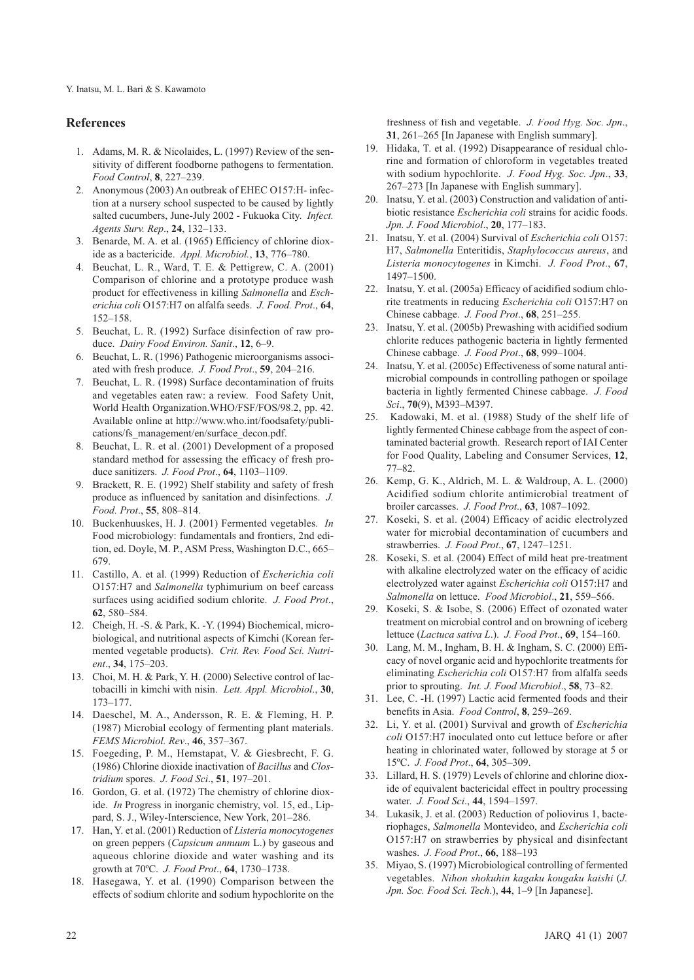### **References**

- 1. Adams, M. R. & Nicolaides, L. (1997) Review of the sensitivity of different foodborne pathogens to fermentation. *Food Control*, **8**, 227–239.
- 2. Anonymous (2003) An outbreak of EHEC O157:H- infection at a nursery school suspected to be caused by lightly salted cucumbers, June-July 2002 - Fukuoka City. *Infect. Agents Surv. Rep*., **24**, 132–133.
- 3. Benarde, M. A. et al. (1965) Efficiency of chlorine dioxide as a bactericide. *Appl. Microbiol.*, **13**, 776–780.
- 4. Beuchat, L. R., Ward, T. E. & Pettigrew, C. A. (2001) Comparison of chlorine and a prototype produce wash product for effectiveness in killing *Salmonella* and *Escherichia coli* O157:H7 on alfalfa seeds. *J. Food. Prot*., **64**, 152–158.
- 5. Beuchat, L. R. (1992) Surface disinfection of raw produce. *Dairy Food Environ. Sanit*., **12**, 6–9.
- 6. Beuchat, L. R. (1996) Pathogenic microorganisms associated with fresh produce. *J. Food Prot*., **59**, 204–216.
- 7. Beuchat, L. R. (1998) Surface decontamination of fruits and vegetables eaten raw: a review. Food Safety Unit, World Health Organization.WHO/FSF/FOS/98.2, pp. 42. Available online at http://www.who.int/foodsafety/publications/fs\_management/en/surface\_decon.pdf.
- 8. Beuchat, L. R. et al. (2001) Development of a proposed standard method for assessing the efficacy of fresh produce sanitizers. *J. Food Prot*., **64**, 1103–1109.
- 9. Brackett, R. E. (1992) Shelf stability and safety of fresh produce as influenced by sanitation and disinfections. *J. Food. Prot*., **55**, 808–814.
- 10. Buckenhuuskes, H. J. (2001) Fermented vegetables. *In* Food microbiology: fundamentals and frontiers, 2nd edition, ed. Doyle, M. P., ASM Press, Washington D.C., 665– 679.
- 11. Castillo, A. et al. (1999) Reduction of *Escherichia coli* O157:H7 and *Salmonella* typhimurium on beef carcass surfaces using acidified sodium chlorite. *J. Food Prot*., **62**, 580–584.
- 12. Cheigh, H. -S. & Park, K. -Y. (1994) Biochemical, microbiological, and nutritional aspects of Kimchi (Korean fermented vegetable products). *Crit. Rev. Food Sci. Nutrient*., **34**, 175–203.
- 13. Choi, M. H. & Park, Y. H. (2000) Selective control of lactobacilli in kimchi with nisin. *Lett. Appl. Microbiol*., **30**, 173–177.
- 14. Daeschel, M. A., Andersson, R. E. & Fleming, H. P. (1987) Microbial ecology of fermenting plant materials. *FEMS Microbiol. Rev*., **46**, 357–367.
- 15. Foegeding, P. M., Hemstapat, V. & Giesbrecht, F. G. (1986) Chlorine dioxide inactivation of *Bacillus* and *Clostridium* spores. *J. Food Sci*., **51**, 197–201.
- 16. Gordon, G. et al. (1972) The chemistry of chlorine dioxide. *In* Progress in inorganic chemistry, vol. 15, ed., Lippard, S. J., Wiley-Interscience, New York, 201–286.
- 17. Han, Y. et al. (2001) Reduction of *Listeria monocytogenes* on green peppers (*Capsicum annuum* L.) by gaseous and aqueous chlorine dioxide and water washing and its growth at 70ºC. *J. Food Prot*., **64**, 1730–1738.
- 18. Hasegawa, Y. et al. (1990) Comparison between the effects of sodium chlorite and sodium hypochlorite on the

freshness of fish and vegetable. *J. Food Hyg. Soc. Jpn*., **31**, 261–265 [In Japanese with English summary].

- 19. Hidaka, T. et al. (1992) Disappearance of residual chlorine and formation of chloroform in vegetables treated with sodium hypochlorite. *J. Food Hyg. Soc. Jpn*., **33**, 267–273 [In Japanese with English summary].
- 20. Inatsu, Y. et al. (2003) Construction and validation of antibiotic resistance *Escherichia coli* strains for acidic foods. *Jpn. J. Food Microbiol*., **20**, 177–183.
- 21. Inatsu, Y. et al. (2004) Survival of *Escherichia coli* O157: H7, *Salmonella* Enteritidis, *Staphylococcus aureus*, and *Listeria monocytogenes* in Kimchi. *J. Food Prot*., **67**, 1497–1500.
- 22. Inatsu, Y. et al. (2005a) Efficacy of acidified sodium chlorite treatments in reducing *Escherichia coli* O157:H7 on Chinese cabbage. *J. Food Prot*., **68**, 251–255.
- 23. Inatsu, Y. et al. (2005b) Prewashing with acidified sodium chlorite reduces pathogenic bacteria in lightly fermented Chinese cabbage. *J. Food Prot*., **68**, 999–1004.
- 24. Inatsu, Y. et al. (2005c) Effectiveness of some natural antimicrobial compounds in controlling pathogen or spoilage bacteria in lightly fermented Chinese cabbage. *J. Food Sci*., **70**(9), M393–M397.
- 25. Kadowaki, M. et al. (1988) Study of the shelf life of lightly fermented Chinese cabbage from the aspect of contaminated bacterial growth. Research report of IAI Center for Food Quality, Labeling and Consumer Services, **12**, 77–82.
- 26. Kemp, G. K., Aldrich, M. L. & Waldroup, A. L. (2000) Acidified sodium chlorite antimicrobial treatment of broiler carcasses. *J. Food Prot*., **63**, 1087–1092.
- 27. Koseki, S. et al. (2004) Efficacy of acidic electrolyzed water for microbial decontamination of cucumbers and strawberries. *J. Food Prot*., **67**, 1247–1251.
- 28. Koseki, S. et al. (2004) Effect of mild heat pre-treatment with alkaline electrolyzed water on the efficacy of acidic electrolyzed water against *Escherichia coli* O157:H7 and *Salmonella* on lettuce. *Food Microbiol*., **21**, 559–566.
- 29. Koseki, S. & Isobe, S. (2006) Effect of ozonated water treatment on microbial control and on browning of iceberg lettuce (*Lactuca sativa L*.). *J. Food Prot*., **69**, 154–160.
- 30. Lang, M. M., Ingham, B. H. & Ingham, S. C. (2000) Efficacy of novel organic acid and hypochlorite treatments for eliminating *Escherichia coli* O157:H7 from alfalfa seeds prior to sprouting. *Int. J. Food Microbiol*., **58**, 73–82.
- 31. Lee, C. -H. (1997) Lactic acid fermented foods and their benefits in Asia. *Food Control*, **8**, 259–269.
- 32. Li, Y. et al. (2001) Survival and growth of *Escherichia coli* O157:H7 inoculated onto cut lettuce before or after heating in chlorinated water, followed by storage at 5 or 15ºC. *J. Food Prot*., **64**, 305–309.
- 33. Lillard, H. S. (1979) Levels of chlorine and chlorine dioxide of equivalent bactericidal effect in poultry processing water. *J. Food Sci*., **44**, 1594–1597.
- 34. Lukasik, J. et al. (2003) Reduction of poliovirus 1, bacteriophages, *Salmonella* Montevideo, and *Escherichia coli* O157:H7 on strawberries by physical and disinfectant washes. *J. Food Prot*., **66**, 188–193
- 35. Miyao, S. (1997) Microbiological controlling of fermented vegetables. *Nihon shokuhin kagaku kougaku kaishi* (*J. Jpn. Soc. Food Sci. Tech*.), **44**, 1–9 [In Japanese].